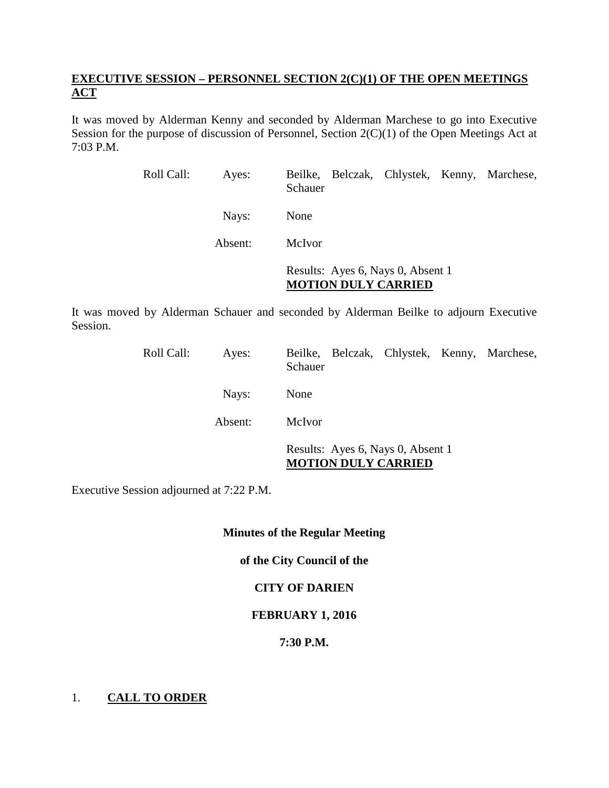# **EXECUTIVE SESSION – PERSONNEL SECTION 2(C)(1) OF THE OPEN MEETINGS ACT**

It was moved by Alderman Kenny and seconded by Alderman Marchese to go into Executive Session for the purpose of discussion of Personnel, Section 2(C)(1) of the Open Meetings Act at 7:03 P.M.

| Roll Call: | Ayes:   | Beilke, Belczak, Chlystek, Kenny, Marchese,<br>Schauer          |
|------------|---------|-----------------------------------------------------------------|
|            | Nays:   | None                                                            |
|            | Absent: | <b>McIvor</b>                                                   |
|            |         | Results: Ayes 6, Nays 0, Absent 1<br><b>MOTION DULY CARRIED</b> |

It was moved by Alderman Schauer and seconded by Alderman Beilke to adjourn Executive Session.

| Roll Call: | Ayes:   | Beilke, Belczak, Chlystek, Kenny, Marchese,<br>Schauer          |
|------------|---------|-----------------------------------------------------------------|
|            | Nays:   | None                                                            |
|            | Absent: | McIvor                                                          |
|            |         | Results: Ayes 6, Nays 0, Absent 1<br><b>MOTION DULY CARRIED</b> |

Executive Session adjourned at 7:22 P.M.

## **Minutes of the Regular Meeting**

# **of the City Council of the**

# **CITY OF DARIEN**

## **FEBRUARY 1, 2016**

## **7:30 P.M.**

# 1. **CALL TO ORDER**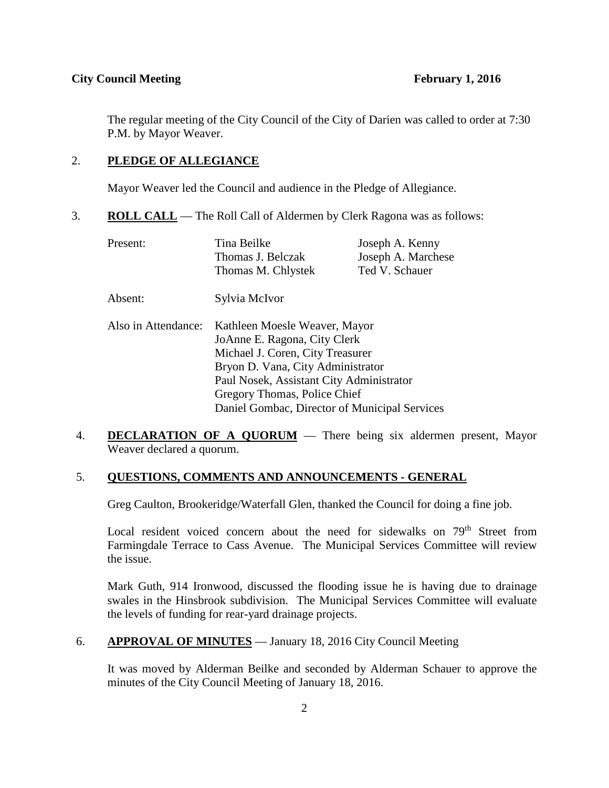### **City Council Meeting February 1, 2016**

The regular meeting of the City Council of the City of Darien was called to order at 7:30 P.M. by Mayor Weaver.

# 2. **PLEDGE OF ALLEGIANCE**

Mayor Weaver led the Council and audience in the Pledge of Allegiance.

3. **ROLL CALL** — The Roll Call of Aldermen by Clerk Ragona was as follows:

| Present:            | Tina Beilke<br>Thomas J. Belczak                                                                                                                                                   | Joseph A. Kenny<br>Joseph A. Marchese |
|---------------------|------------------------------------------------------------------------------------------------------------------------------------------------------------------------------------|---------------------------------------|
|                     | Thomas M. Chlystek                                                                                                                                                                 | Ted V. Schauer                        |
| Absent:             | Sylvia McIvor                                                                                                                                                                      |                                       |
| Also in Attendance: | Kathleen Moesle Weaver, Mayor<br>JoAnne E. Ragona, City Clerk<br>Michael J. Coren, City Treasurer<br>Bryon D. Vana, City Administrator<br>Paul Nosek, Assistant City Administrator |                                       |
|                     | Gregory Thomas, Police Chief<br>Daniel Gombac, Director of Municipal Services                                                                                                      |                                       |

4. **DECLARATION OF A QUORUM** — There being six aldermen present, Mayor Weaver declared a quorum.

## 5. **QUESTIONS, COMMENTS AND ANNOUNCEMENTS - GENERAL**

Greg Caulton, Brookeridge/Waterfall Glen, thanked the Council for doing a fine job.

Local resident voiced concern about the need for sidewalks on 79<sup>th</sup> Street from Farmingdale Terrace to Cass Avenue. The Municipal Services Committee will review the issue.

Mark Guth, 914 Ironwood, discussed the flooding issue he is having due to drainage swales in the Hinsbrook subdivision. The Municipal Services Committee will evaluate the levels of funding for rear-yard drainage projects.

## 6. **APPROVAL OF MINUTES** — January 18, 2016 City Council Meeting

It was moved by Alderman Beilke and seconded by Alderman Schauer to approve the minutes of the City Council Meeting of January 18, 2016.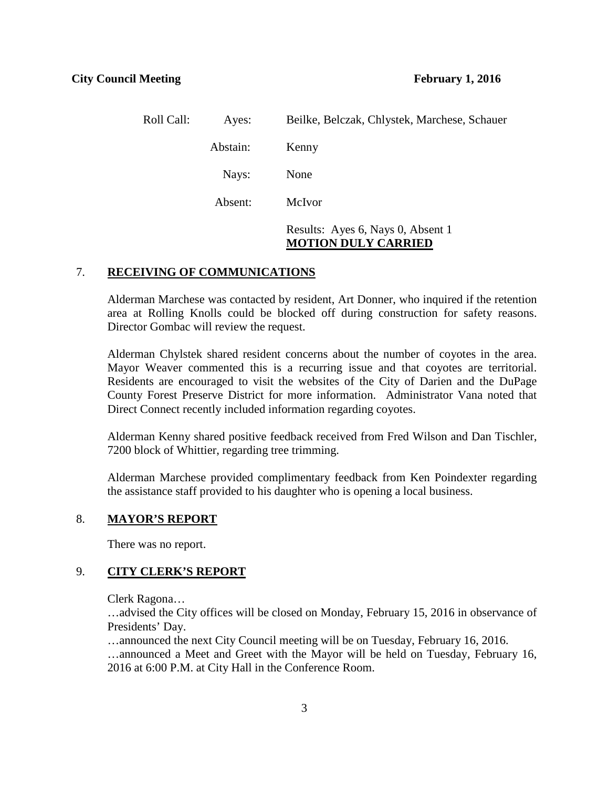| Roll Call: | Ayes:    | Beilke, Belczak, Chlystek, Marchese, Schauer                    |
|------------|----------|-----------------------------------------------------------------|
|            | Abstain: | Kenny                                                           |
|            | Nays:    | None                                                            |
|            | Absent:  | McIvor                                                          |
|            |          | Results: Ayes 6, Nays 0, Absent 1<br><b>MOTION DULY CARRIED</b> |

#### 7. **RECEIVING OF COMMUNICATIONS**

Alderman Marchese was contacted by resident, Art Donner, who inquired if the retention area at Rolling Knolls could be blocked off during construction for safety reasons. Director Gombac will review the request.

Alderman Chylstek shared resident concerns about the number of coyotes in the area. Mayor Weaver commented this is a recurring issue and that coyotes are territorial. Residents are encouraged to visit the websites of the City of Darien and the DuPage County Forest Preserve District for more information. Administrator Vana noted that Direct Connect recently included information regarding coyotes.

Alderman Kenny shared positive feedback received from Fred Wilson and Dan Tischler, 7200 block of Whittier, regarding tree trimming.

Alderman Marchese provided complimentary feedback from Ken Poindexter regarding the assistance staff provided to his daughter who is opening a local business.

### 8. **MAYOR'S REPORT**

There was no report.

## 9. **CITY CLERK'S REPORT**

Clerk Ragona…

…advised the City offices will be closed on Monday, February 15, 2016 in observance of Presidents' Day.

…announced the next City Council meeting will be on Tuesday, February 16, 2016. …announced a Meet and Greet with the Mayor will be held on Tuesday, February 16, 2016 at 6:00 P.M. at City Hall in the Conference Room.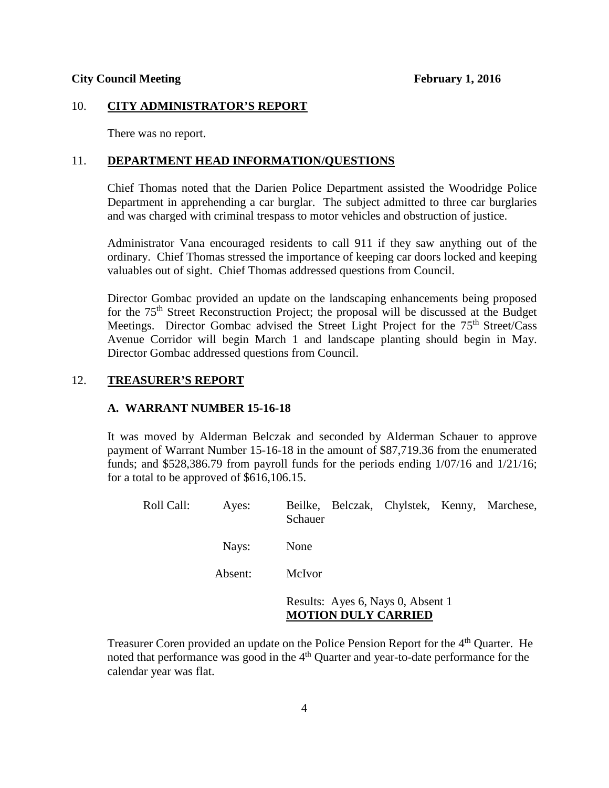#### **City Council Meeting February 1, 2016**

### 10. **CITY ADMINISTRATOR'S REPORT**

There was no report.

### 11. **DEPARTMENT HEAD INFORMATION/QUESTIONS**

Chief Thomas noted that the Darien Police Department assisted the Woodridge Police Department in apprehending a car burglar. The subject admitted to three car burglaries and was charged with criminal trespass to motor vehicles and obstruction of justice.

Administrator Vana encouraged residents to call 911 if they saw anything out of the ordinary. Chief Thomas stressed the importance of keeping car doors locked and keeping valuables out of sight. Chief Thomas addressed questions from Council.

Director Gombac provided an update on the landscaping enhancements being proposed for the  $75<sup>th</sup>$  Street Reconstruction Project; the proposal will be discussed at the Budget Meetings. Director Gombac advised the Street Light Project for the 75<sup>th</sup> Street/Cass Avenue Corridor will begin March 1 and landscape planting should begin in May. Director Gombac addressed questions from Council.

## 12. **TREASURER'S REPORT**

### **A. WARRANT NUMBER 15-16-18**

It was moved by Alderman Belczak and seconded by Alderman Schauer to approve payment of Warrant Number 15-16-18 in the amount of \$87,719.36 from the enumerated funds; and \$528,386.79 from payroll funds for the periods ending 1/07/16 and 1/21/16; for a total to be approved of \$616,106.15.

| Roll Call: | Ayes:   | Beilke, Belczak, Chylstek, Kenny, Marchese,<br>Schauer          |
|------------|---------|-----------------------------------------------------------------|
|            | Nays:   | None                                                            |
|            | Absent: | McIvor                                                          |
|            |         | Results: Ayes 6, Nays 0, Absent 1<br><b>MOTION DULY CARRIED</b> |

Treasurer Coren provided an update on the Police Pension Report for the 4<sup>th</sup> Ouarter. He noted that performance was good in the 4<sup>th</sup> Quarter and year-to-date performance for the calendar year was flat.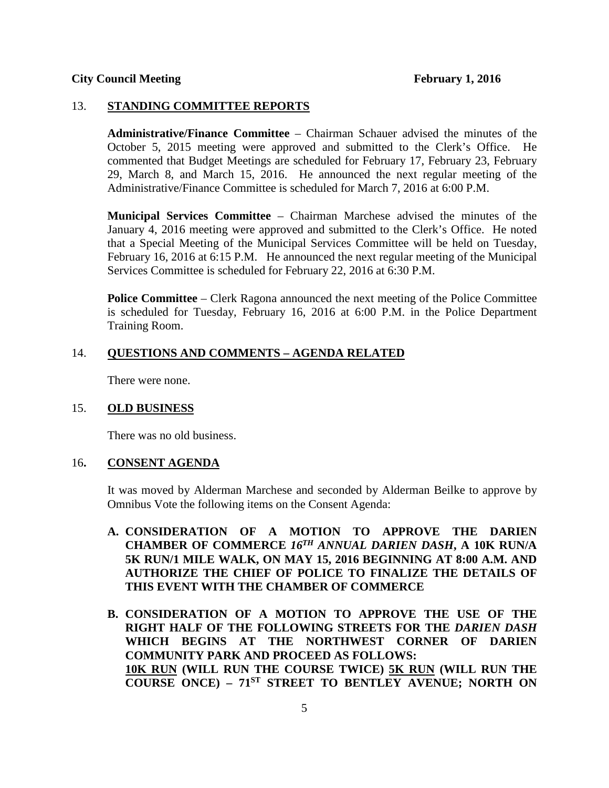### 13. **STANDING COMMITTEE REPORTS**

**Administrative/Finance Committee** – Chairman Schauer advised the minutes of the October 5, 2015 meeting were approved and submitted to the Clerk's Office. He commented that Budget Meetings are scheduled for February 17, February 23, February 29, March 8, and March 15, 2016. He announced the next regular meeting of the Administrative/Finance Committee is scheduled for March 7, 2016 at 6:00 P.M.

**Municipal Services Committee** – Chairman Marchese advised the minutes of the January 4, 2016 meeting were approved and submitted to the Clerk's Office. He noted that a Special Meeting of the Municipal Services Committee will be held on Tuesday, February 16, 2016 at 6:15 P.M. He announced the next regular meeting of the Municipal Services Committee is scheduled for February 22, 2016 at 6:30 P.M.

**Police Committee** – Clerk Ragona announced the next meeting of the Police Committee is scheduled for Tuesday, February 16, 2016 at 6:00 P.M. in the Police Department Training Room.

#### 14. **QUESTIONS AND COMMENTS – AGENDA RELATED**

There were none.

#### 15. **OLD BUSINESS**

There was no old business.

#### 16**. CONSENT AGENDA**

It was moved by Alderman Marchese and seconded by Alderman Beilke to approve by Omnibus Vote the following items on the Consent Agenda:

- **A. CONSIDERATION OF A MOTION TO APPROVE THE DARIEN CHAMBER OF COMMERCE** *16TH ANNUAL DARIEN DASH***, A 10K RUN/A 5K RUN/1 MILE WALK, ON MAY 15, 2016 BEGINNING AT 8:00 A.M. AND AUTHORIZE THE CHIEF OF POLICE TO FINALIZE THE DETAILS OF THIS EVENT WITH THE CHAMBER OF COMMERCE**
- **B. CONSIDERATION OF A MOTION TO APPROVE THE USE OF THE RIGHT HALF OF THE FOLLOWING STREETS FOR THE** *DARIEN DASH* **WHICH BEGINS AT THE NORTHWEST CORNER OF DARIEN COMMUNITY PARK AND PROCEED AS FOLLOWS: 10K RUN (WILL RUN THE COURSE TWICE) 5K RUN (WILL RUN THE COURSE ONCE) – 71ST STREET TO BENTLEY AVENUE; NORTH ON**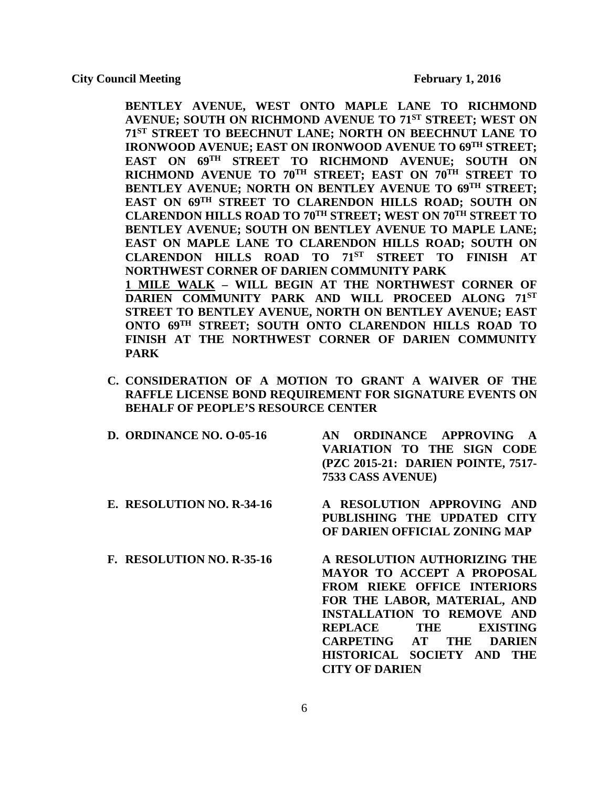**BENTLEY AVENUE, WEST ONTO MAPLE LANE TO RICHMOND AVENUE; SOUTH ON RICHMOND AVENUE TO 71ST STREET; WEST ON 71ST STREET TO BEECHNUT LANE; NORTH ON BEECHNUT LANE TO IRONWOOD AVENUE; EAST ON IRONWOOD AVENUE TO 69TH STREET; EAST ON 69TH STREET TO RICHMOND AVENUE; SOUTH ON RICHMOND AVENUE TO 70TH STREET; EAST ON 70TH STREET TO BENTLEY AVENUE; NORTH ON BENTLEY AVENUE TO 69TH STREET; EAST ON 69TH STREET TO CLARENDON HILLS ROAD; SOUTH ON CLARENDON HILLS ROAD TO 70TH STREET; WEST ON 70TH STREET TO BENTLEY AVENUE; SOUTH ON BENTLEY AVENUE TO MAPLE LANE; EAST ON MAPLE LANE TO CLARENDON HILLS ROAD; SOUTH ON CLARENDON HILLS ROAD TO 71ST STREET TO FINISH AT NORTHWEST CORNER OF DARIEN COMMUNITY PARK 1 MILE WALK – WILL BEGIN AT THE NORTHWEST CORNER OF DARIEN COMMUNITY PARK AND WILL PROCEED ALONG 71ST STREET TO BENTLEY AVENUE, NORTH ON BENTLEY AVENUE; EAST ONTO 69TH STREET; SOUTH ONTO CLARENDON HILLS ROAD TO FINISH AT THE NORTHWEST CORNER OF DARIEN COMMUNITY PARK**

**C. CONSIDERATION OF A MOTION TO GRANT A WAIVER OF THE RAFFLE LICENSE BOND REQUIREMENT FOR SIGNATURE EVENTS ON BEHALF OF PEOPLE'S RESOURCE CENTER**

| <b>D. ORDINANCE NO. 0-05-16</b> | AN ORDINANCE APPROVING A                                |
|---------------------------------|---------------------------------------------------------|
|                                 | VARIATION TO THE SIGN CODE                              |
|                                 | (PZC 2015-21: DARIEN POINTE, 7517-<br>7533 CASS AVENUE) |
| E. RESOLUTION NO. R-34-16       | A RESOLUTION APPROVING AND                              |

- **PUBLISHING THE UPDATED CITY OF DARIEN OFFICIAL ZONING MAP**
- **F. RESOLUTION NO. R-35-16 A RESOLUTION AUTHORIZING THE MAYOR TO ACCEPT A PROPOSAL FROM RIEKE OFFICE INTERIORS FOR THE LABOR, MATERIAL, AND INSTALLATION TO REMOVE AND REPLACE THE EXISTING CARPETING AT THE DARIEN HISTORICAL SOCIETY AND THE CITY OF DARIEN**